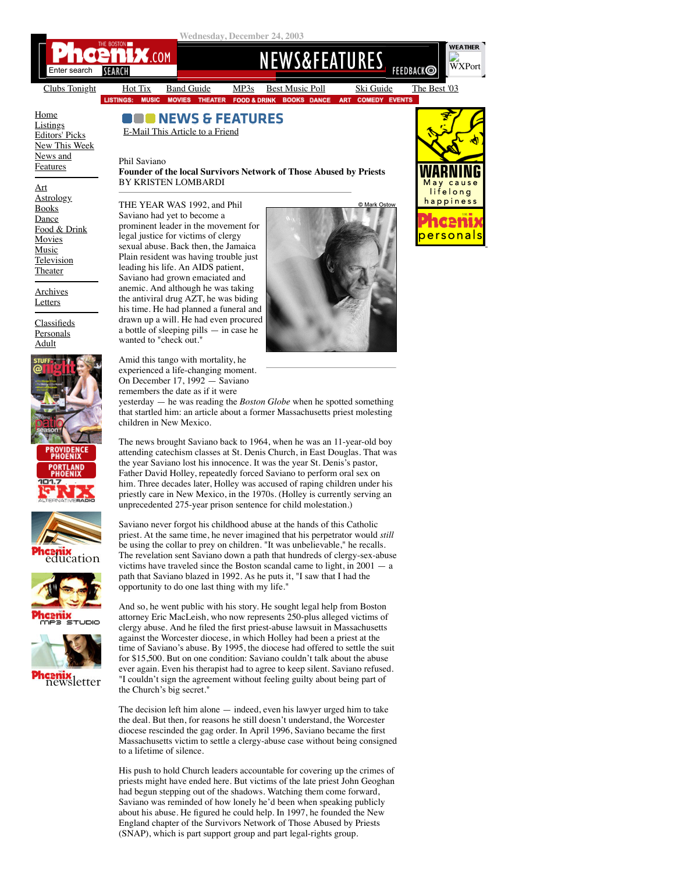

[Clubs Tonight](https://bostonphoenix.com/listings/music/clubs_by_night/12-24-03.asp) [Hot Tix](https://bostonphoenix.com/boston/events/hot/hottix.asp) [Band Guide](https://bostonphoenix.com/supplements/band_guide/index.html) [MP3s](https://bostonphoenix.com/Bost_MP3/index.asp) [Best Music Poll](http://www.bestmusicpoll.com/) [Ski Guide](https://bostonphoenix.com/ski/) [The Best '03](https://bostonphoenix.com/supplements/the_best/03/index.asp) **THEATER FOC DD & DI** 

**BOOKS DANCE ART** 

 $<sup>c</sup>$ </sup> **IEDY EV** 

**OUD NEWS & FEATURES** 

[Home](http://www.bostonphoenix.com/) **[Listings](https://bostonphoenix.com/boston/listings/index.asp)** [Editors' Picks](https://bostonphoenix.com/boston/events/index.asp) [New This Week](https://bostonphoenix.com/boston/whats_new/index.asp) [News and](https://bostonphoenix.com/boston/news_features/index.asp) Features

## E-Mail This Article to a Friend

THE YEAR WAS 1992, and Phil Saviano had yet to become a prominent leader in the movement for legal justice for victims of clergy sexual abuse. Back then, the Jamaica Plain resident was having trouble just leading his life. An AIDS patient, Saviano had grown emaciated and anemic. And although he was taking the antiviral drug AZT, he was biding

a bottle of sleeping pills — in case he

Amid this tango with mortality, he experienced a life-changing moment. On December 17, 1992 — Saviano

wanted to "check out."

Phil Saviano

**Founder of the local Survivors Network of Those Abused by Priests** BY KRISTEN LOMBARDI

[Art](https://bostonphoenix.com/boston/arts/art/index.asp) **[Astrology](https://bostonphoenix.com/portal/astrology/astrology.asp)** [Books](https://bostonphoenix.com/boston/arts/books/index.asp) **[Dance](https://bostonphoenix.com/boston/arts/dance/index.asp)** [Food & Drink](https://bostonphoenix.com/boston/food_drink/index.asp) **[Movies](https://bostonphoenix.com/boston/movies/index.asp)** [Music](https://bostonphoenix.com/boston/music/index.asp) **[Television](https://bostonphoenix.com/boston/arts/tv/index.asp)** [Theater](https://bostonphoenix.com/boston/arts/theater/index.asp)

[Archives](https://bostonphoenix.com/utility/search/archive.asp) **[Letters](https://bostonphoenix.com/boston/news_features/letters/letters.asp)** 

**[Classifieds](http://classifieds.bostonphoenix.com/) [Personals](http://phoenixpeople.com/splash.html)** [Adult](http://classifieds.bostonphoenix.com/?id=4000)









cenix<br>newsletter



remembers the date as if it were yesterday — he was reading the *Boston Globe* when he spotted something that startled him: an article about a former Massachusetts priest molesting children in New Mexico.

The news brought Saviano back to 1964, when he was an 11-year-old boy attending catechism classes at St. Denis Church, in East Douglas. That was the year Saviano lost his innocence. It was the year St. Denis's pastor, Father David Holley, repeatedly forced Saviano to perform oral sex on him. Three decades later, Holley was accused of raping children under his priestly care in New Mexico, in the 1970s. (Holley is currently serving an unprecedented 275-year prison sentence for child molestation.)

Saviano never forgot his childhood abuse at the hands of this Catholic priest. At the same time, he never imagined that his perpetrator would *still* be using the collar to prey on children. "It was unbelievable," he recalls. The revelation sent Saviano down a path that hundreds of clergy-sex-abuse victims have traveled since the Boston scandal came to light, in  $2001 - a$ path that Saviano blazed in 1992. As he puts it, "I saw that I had the opportunity to do one last thing with my life."

And so, he went public with his story. He sought legal help from Boston attorney Eric MacLeish, who now represents 250-plus alleged victims of clergy abuse. And he filed the first priest-abuse lawsuit in Massachusetts against the Worcester diocese, in which Holley had been a priest at the time of Saviano's abuse. By 1995, the diocese had offered to settle the suit for \$15,500. But on one condition: Saviano couldn't talk about the abuse ever again. Even his therapist had to agree to keep silent. Saviano refused. "I couldn't sign the agreement without feeling guilty about being part of the Church's big secret."

The decision left him alone — indeed, even his lawyer urged him to take the deal. But then, for reasons he still doesn't understand, the Worcester diocese rescinded the gag order. In April 1996, Saviano became the first Massachusetts victim to settle a clergy-abuse case without being consigned to a lifetime of silence.

His push to hold Church leaders accountable for covering up the crimes of priests might have ended here. But victims of the late priest John Geoghan had begun stepping out of the shadows. Watching them come forward, Saviano was reminded of how lonely he'd been when speaking publicly about his abuse. He figured he could help. In 1997, he founded the New England chapter of the Survivors Network of Those Abused by Priests (SNAP), which is part support group and part legal-rights group.



[WXPort](http://wwwa.accuweather.com/adcbin/public/local_index.asp?zipcode=02115&partner=23431)

**FEEDBACKO** 

**WEATHER**